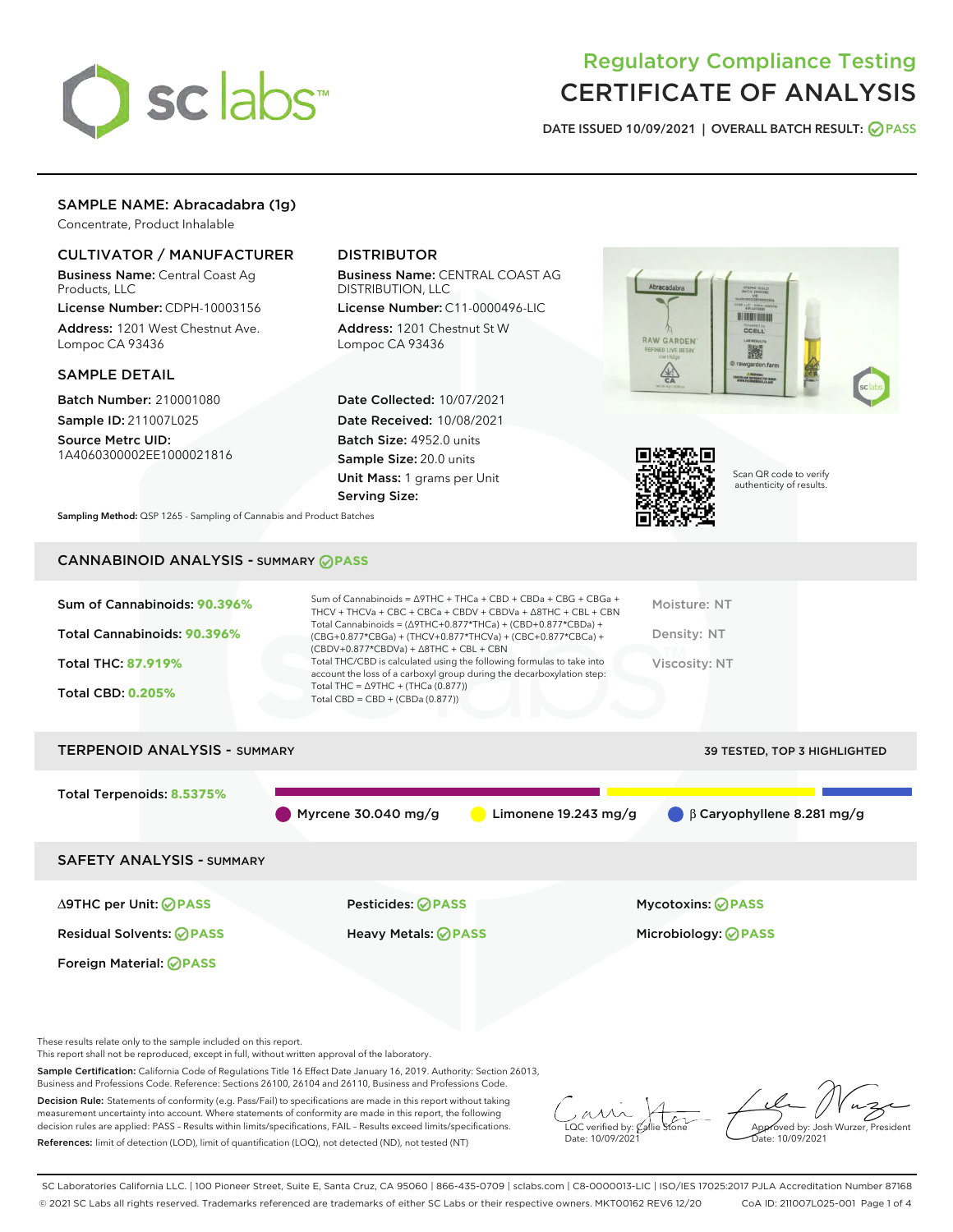

# Regulatory Compliance Testing CERTIFICATE OF ANALYSIS

DATE ISSUED 10/09/2021 | OVERALL BATCH RESULT: @ PASS

## SAMPLE NAME: Abracadabra (1g)

Concentrate, Product Inhalable

## CULTIVATOR / MANUFACTURER

Business Name: Central Coast Ag Products, LLC

License Number: CDPH-10003156 Address: 1201 West Chestnut Ave. Lompoc CA 93436

#### SAMPLE DETAIL

Batch Number: 210001080 Sample ID: 211007L025

Source Metrc UID: 1A4060300002EE1000021816

## DISTRIBUTOR

Business Name: CENTRAL COAST AG DISTRIBUTION, LLC

License Number: C11-0000496-LIC Address: 1201 Chestnut St W Lompoc CA 93436

Date Collected: 10/07/2021 Date Received: 10/08/2021 Batch Size: 4952.0 units Sample Size: 20.0 units Unit Mass: 1 grams per Unit Serving Size:





Scan QR code to verify authenticity of results.

Sampling Method: QSP 1265 - Sampling of Cannabis and Product Batches

## CANNABINOID ANALYSIS - SUMMARY **PASS**

| Sum of Cannabinoids: 90.396%<br>Total Cannabinoids: 90.396%<br><b>Total THC: 87.919%</b><br><b>Total CBD: 0.205%</b> | Sum of Cannabinoids = $\triangle$ 9THC + THCa + CBD + CBDa + CBG + CBGa +<br>THCV + THCVa + CBC + CBCa + CBDV + CBDVa + $\Delta$ 8THC + CBL + CBN<br>Total Cannabinoids = $(\Delta$ 9THC+0.877*THCa) + (CBD+0.877*CBDa) +<br>(CBG+0.877*CBGa) + (THCV+0.877*THCVa) + (CBC+0.877*CBCa) +<br>$(CBDV+0.877*CBDVa) + \Delta 8THC + CBL + CBN$<br>Total THC/CBD is calculated using the following formulas to take into<br>account the loss of a carboxyl group during the decarboxylation step:<br>Total THC = $\triangle$ 9THC + (THCa (0.877))<br>Total CBD = $CBD + (CBDa (0.877))$ | Moisture: NT<br>Density: NT<br>Viscosity: NT |
|----------------------------------------------------------------------------------------------------------------------|------------------------------------------------------------------------------------------------------------------------------------------------------------------------------------------------------------------------------------------------------------------------------------------------------------------------------------------------------------------------------------------------------------------------------------------------------------------------------------------------------------------------------------------------------------------------------------|----------------------------------------------|
| <b>TERPENOID ANALYSIS - SUMMARY</b>                                                                                  |                                                                                                                                                                                                                                                                                                                                                                                                                                                                                                                                                                                    | <b>39 TESTED, TOP 3 HIGHLIGHTED</b>          |
| Total Terpenoids: 8.5375%                                                                                            | Myrcene $30.040$ mg/g<br>Limonene $19.243$ mg/g                                                                                                                                                                                                                                                                                                                                                                                                                                                                                                                                    | $\beta$ Caryophyllene 8.281 mg/g             |
| <b>SAFETY ANALYSIS - SUMMARY</b>                                                                                     |                                                                                                                                                                                                                                                                                                                                                                                                                                                                                                                                                                                    |                                              |
| ∆9THC per Unit: ⊘PASS                                                                                                | Pesticides: ⊘PASS                                                                                                                                                                                                                                                                                                                                                                                                                                                                                                                                                                  | <b>Mycotoxins: ⊘PASS</b>                     |

Residual Solvents: **PASS** Heavy Metals: **PASS** Microbiology: **PASS**

These results relate only to the sample included on this report.

Foreign Material: **PASS**

This report shall not be reproduced, except in full, without written approval of the laboratory.

Sample Certification: California Code of Regulations Title 16 Effect Date January 16, 2019. Authority: Section 26013, Business and Professions Code. Reference: Sections 26100, 26104 and 26110, Business and Professions Code.

Decision Rule: Statements of conformity (e.g. Pass/Fail) to specifications are made in this report without taking measurement uncertainty into account. Where statements of conformity are made in this report, the following decision rules are applied: PASS – Results within limits/specifications, FAIL – Results exceed limits/specifications. References: limit of detection (LOD), limit of quantification (LOQ), not detected (ND), not tested (NT)

 $\overline{\text{LOC}}$  verified by:  $\mathscr{C}$ al Date: 10/09/2021

Approved by: Josh Wurzer, President ate: 10/09/2021

SC Laboratories California LLC. | 100 Pioneer Street, Suite E, Santa Cruz, CA 95060 | 866-435-0709 | sclabs.com | C8-0000013-LIC | ISO/IES 17025:2017 PJLA Accreditation Number 87168 © 2021 SC Labs all rights reserved. Trademarks referenced are trademarks of either SC Labs or their respective owners. MKT00162 REV6 12/20 CoA ID: 211007L025-001 Page 1 of 4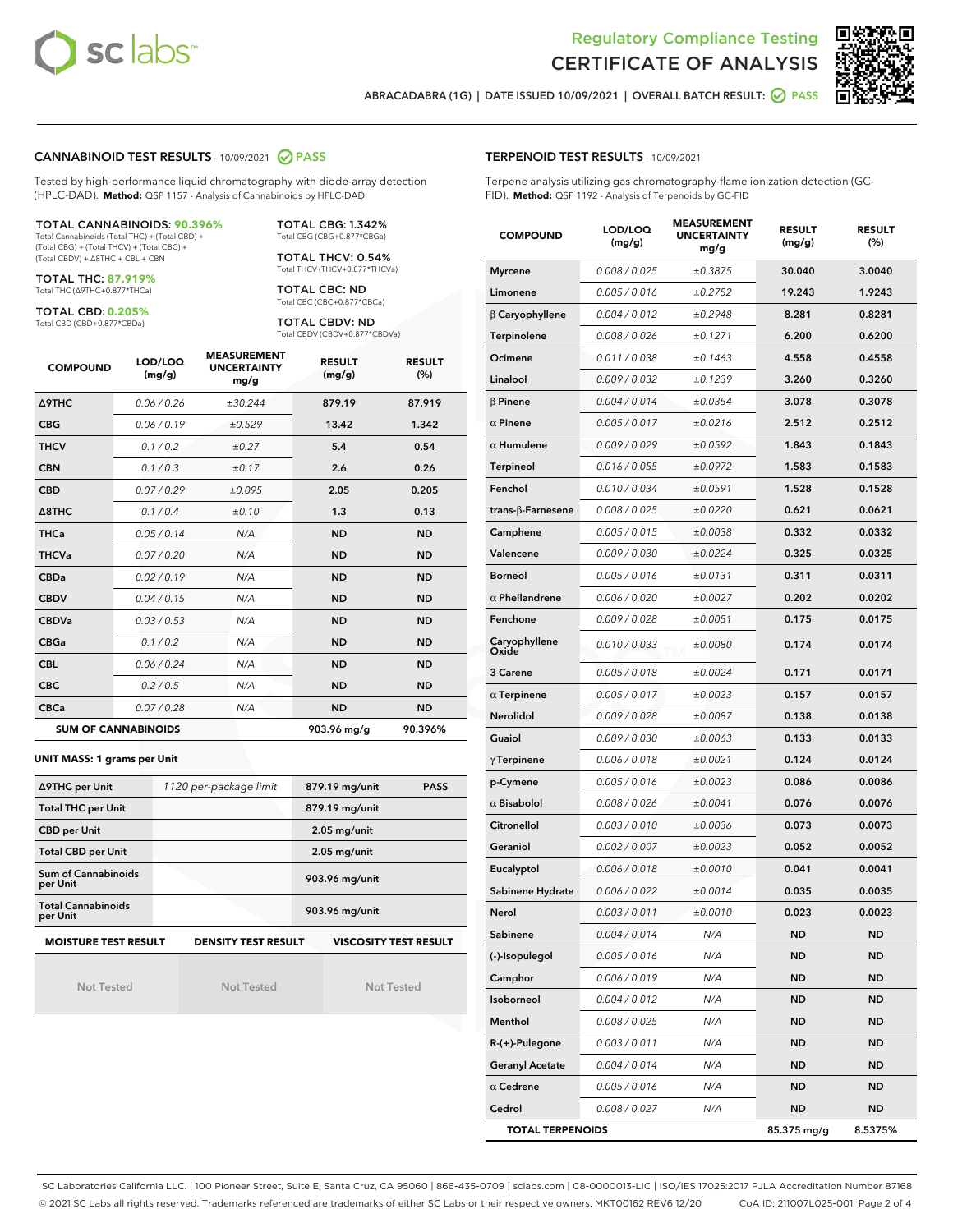



ABRACADABRA (1G) | DATE ISSUED 10/09/2021 | OVERALL BATCH RESULT: @ PASS

### CANNABINOID TEST RESULTS - 10/09/2021 2 PASS

Tested by high-performance liquid chromatography with diode-array detection (HPLC-DAD). **Method:** QSP 1157 - Analysis of Cannabinoids by HPLC-DAD

#### TOTAL CANNABINOIDS: **90.396%**

Total Cannabinoids (Total THC) + (Total CBD) + (Total CBG) + (Total THCV) + (Total CBC) + (Total CBDV) + ∆8THC + CBL + CBN

TOTAL THC: **87.919%** Total THC (∆9THC+0.877\*THCa)

TOTAL CBD: **0.205%**

Total CBD (CBD+0.877\*CBDa)

TOTAL CBG: 1.342% Total CBG (CBG+0.877\*CBGa)

TOTAL THCV: 0.54% Total THCV (THCV+0.877\*THCVa)

TOTAL CBC: ND Total CBC (CBC+0.877\*CBCa)

TOTAL CBDV: ND Total CBDV (CBDV+0.877\*CBDVa)

| <b>COMPOUND</b>            | LOD/LOQ<br>(mg/g) | <b>MEASUREMENT</b><br><b>UNCERTAINTY</b><br>mg/g | <b>RESULT</b><br>(mg/g) | <b>RESULT</b><br>(%) |
|----------------------------|-------------------|--------------------------------------------------|-------------------------|----------------------|
| <b>A9THC</b>               | 0.06 / 0.26       | ±30.244                                          | 879.19                  | 87.919               |
| <b>CBG</b>                 | 0.06/0.19         | ±0.529                                           | 13.42                   | 1.342                |
| <b>THCV</b>                | 0.1 / 0.2         | ±0.27                                            | 5.4                     | 0.54                 |
| <b>CBN</b>                 | 0.1/0.3           | ±0.17                                            | 2.6                     | 0.26                 |
| <b>CBD</b>                 | 0.07/0.29         | ±0.095                                           | 2.05                    | 0.205                |
| $\triangle$ 8THC           | 0.1 / 0.4         | ±0.10                                            | 1.3                     | 0.13                 |
| <b>THCa</b>                | 0.05/0.14         | N/A                                              | <b>ND</b>               | <b>ND</b>            |
| <b>THCVa</b>               | 0.07/0.20         | N/A                                              | <b>ND</b>               | <b>ND</b>            |
| <b>CBDa</b>                | 0.02/0.19         | N/A                                              | <b>ND</b>               | <b>ND</b>            |
| <b>CBDV</b>                | 0.04 / 0.15       | N/A                                              | <b>ND</b>               | <b>ND</b>            |
| <b>CBDVa</b>               | 0.03/0.53         | N/A                                              | <b>ND</b>               | <b>ND</b>            |
| <b>CBGa</b>                | 0.1/0.2           | N/A                                              | <b>ND</b>               | <b>ND</b>            |
| <b>CBL</b>                 | 0.06 / 0.24       | N/A                                              | <b>ND</b>               | <b>ND</b>            |
| <b>CBC</b>                 | 0.2 / 0.5         | N/A                                              | <b>ND</b>               | <b>ND</b>            |
| <b>CBCa</b>                | 0.07/0.28         | N/A                                              | <b>ND</b>               | <b>ND</b>            |
| <b>SUM OF CANNABINOIDS</b> |                   |                                                  | 903.96 mg/g             | 90.396%              |

#### **UNIT MASS: 1 grams per Unit**

| ∆9THC per Unit                        | 1120 per-package limit     | 879.19 mg/unit<br><b>PASS</b> |
|---------------------------------------|----------------------------|-------------------------------|
| <b>Total THC per Unit</b>             |                            | 879.19 mg/unit                |
| <b>CBD per Unit</b>                   |                            | $2.05$ mg/unit                |
| <b>Total CBD per Unit</b>             |                            | $2.05$ mg/unit                |
| Sum of Cannabinoids<br>per Unit       |                            | 903.96 mg/unit                |
| <b>Total Cannabinoids</b><br>per Unit |                            | 903.96 mg/unit                |
| <b>MOISTURE TEST RESULT</b>           | <b>DENSITY TEST RESULT</b> | <b>VISCOSITY TEST RESULT</b>  |

Not Tested

Not Tested

Not Tested

#### TERPENOID TEST RESULTS - 10/09/2021

Terpene analysis utilizing gas chromatography-flame ionization detection (GC-FID). **Method:** QSP 1192 - Analysis of Terpenoids by GC-FID

| <b>COMPOUND</b>           | LOD/LOQ<br>(mg/g) | <b>MEASUREMENT</b><br><b>UNCERTAINTY</b><br>mg/g | <b>RESULT</b><br>(mg/g) | <b>RESULT</b><br>$(\%)$ |
|---------------------------|-------------------|--------------------------------------------------|-------------------------|-------------------------|
| <b>Myrcene</b>            | 0.008 / 0.025     | ±0.3875                                          | 30.040                  | 3.0040                  |
| Limonene                  | 0.005 / 0.016     | ±0.2752                                          | 19.243                  | 1.9243                  |
| $\beta$ Caryophyllene     | 0.004 / 0.012     | ±0.2948                                          | 8.281                   | 0.8281                  |
| <b>Terpinolene</b>        | 0.008 / 0.026     | ±0.1271                                          | 6.200                   | 0.6200                  |
| Ocimene                   | 0.011 / 0.038     | ±0.1463                                          | 4.558                   | 0.4558                  |
| Linalool                  | 0.009 / 0.032     | ±0.1239                                          | 3.260                   | 0.3260                  |
| $\beta$ Pinene            | 0.004 / 0.014     | ±0.0354                                          | 3.078                   | 0.3078                  |
| $\alpha$ Pinene           | 0.005 / 0.017     | ±0.0216                                          | 2.512                   | 0.2512                  |
| $\alpha$ Humulene         | 0.009 / 0.029     | ±0.0592                                          | 1.843                   | 0.1843                  |
| <b>Terpineol</b>          | 0.016 / 0.055     | ±0.0972                                          | 1.583                   | 0.1583                  |
| Fenchol                   | 0.010 / 0.034     | ±0.0591                                          | 1.528                   | 0.1528                  |
| trans- $\beta$ -Farnesene | 0.008 / 0.025     | ±0.0220                                          | 0.621                   | 0.0621                  |
| Camphene                  | 0.005 / 0.015     | ±0.0038                                          | 0.332                   | 0.0332                  |
| Valencene                 | 0.009 / 0.030     | ±0.0224                                          | 0.325                   | 0.0325                  |
| Borneol                   | 0.005 / 0.016     | ±0.0131                                          | 0.311                   | 0.0311                  |
| $\alpha$ Phellandrene     | 0.006 / 0.020     | ±0.0027                                          | 0.202                   | 0.0202                  |
| Fenchone                  | 0.009 / 0.028     | ±0.0051                                          | 0.175                   | 0.0175                  |
| Caryophyllene<br>Oxide    | 0.010 / 0.033     | ±0.0080                                          | 0.174                   | 0.0174                  |
| 3 Carene                  | 0.005 / 0.018     | ±0.0024                                          | 0.171                   | 0.0171                  |
| $\alpha$ Terpinene        | 0.005 / 0.017     | ±0.0023                                          | 0.157                   | 0.0157                  |
| <b>Nerolidol</b>          | 0.009 / 0.028     | ±0.0087                                          | 0.138                   | 0.0138                  |
| Guaiol                    | 0.009 / 0.030     | ±0.0063                                          | 0.133                   | 0.0133                  |
| $\gamma$ Terpinene        | 0.006 / 0.018     | ±0.0021                                          | 0.124                   | 0.0124                  |
| p-Cymene                  | 0.005 / 0.016     | ±0.0023                                          | 0.086                   | 0.0086                  |
| $\alpha$ Bisabolol        | 0.008 / 0.026     | ±0.0041                                          | 0.076                   | 0.0076                  |
| Citronellol               | 0.003/0.010       | ±0.0036                                          | 0.073                   | 0.0073                  |
| Geraniol                  | 0.002 / 0.007     | ±0.0023                                          | 0.052                   | 0.0052                  |
| Eucalyptol                | 0.006 / 0.018     | ±0.0010                                          | 0.041                   | 0.0041                  |
| Sabinene Hydrate          | 0.006 / 0.022     | ±0.0014                                          | 0.035                   | 0.0035                  |
| Nerol                     | 0.003 / 0.011     | ±0.0010                                          | 0.023                   | 0.0023                  |
| Sabinene                  | 0.004 / 0.014     | N/A                                              | ND                      | <b>ND</b>               |
| (-)-Isopulegol            | 0.005 / 0.016     | N/A                                              | ND                      | <b>ND</b>               |
| Camphor                   | 0.006 / 0.019     | N/A                                              | ND                      | <b>ND</b>               |
| Isoborneol                | 0.004 / 0.012     | N/A                                              | ND                      | <b>ND</b>               |
| Menthol                   | 0.008 / 0.025     | N/A                                              | ND                      | ND                      |
| R-(+)-Pulegone            | 0.003 / 0.011     | N/A                                              | ND                      | ND                      |
| <b>Geranyl Acetate</b>    | 0.004 / 0.014     | N/A                                              | ND                      | <b>ND</b>               |
| $\alpha$ Cedrene          | 0.005 / 0.016     | N/A                                              | ND                      | ND                      |
| Cedrol                    | 0.008 / 0.027     | N/A                                              | ND                      | <b>ND</b>               |
| <b>TOTAL TERPENOIDS</b>   |                   |                                                  | 85.375 mg/g             | 8.5375%                 |

SC Laboratories California LLC. | 100 Pioneer Street, Suite E, Santa Cruz, CA 95060 | 866-435-0709 | sclabs.com | C8-0000013-LIC | ISO/IES 17025:2017 PJLA Accreditation Number 87168 © 2021 SC Labs all rights reserved. Trademarks referenced are trademarks of either SC Labs or their respective owners. MKT00162 REV6 12/20 CoA ID: 211007L025-001 Page 2 of 4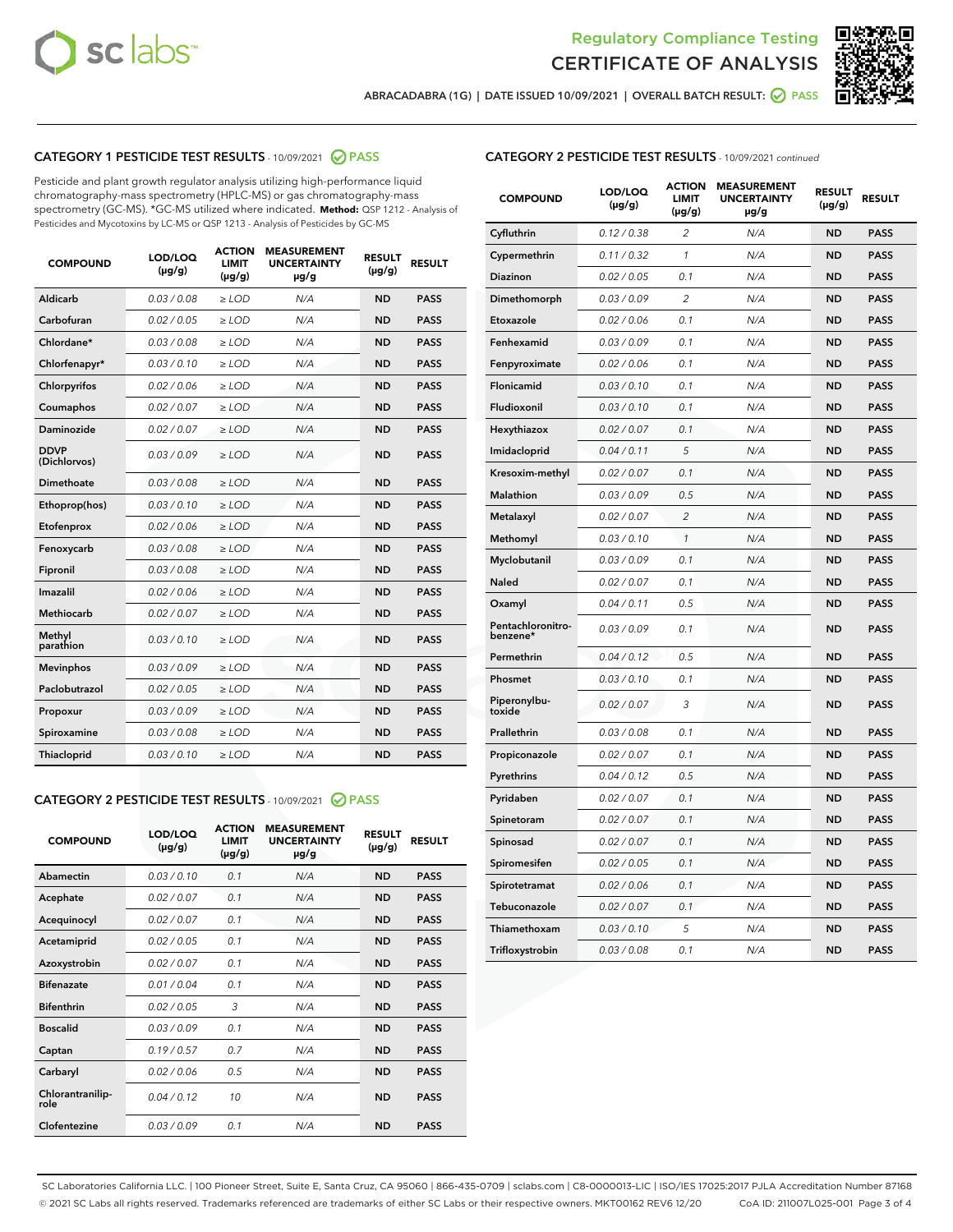



ABRACADABRA (1G) | DATE ISSUED 10/09/2021 | OVERALL BATCH RESULT: O PASS

## CATEGORY 1 PESTICIDE TEST RESULTS - 10/09/2021 2 PASS

Pesticide and plant growth regulator analysis utilizing high-performance liquid chromatography-mass spectrometry (HPLC-MS) or gas chromatography-mass spectrometry (GC-MS). \*GC-MS utilized where indicated. **Method:** QSP 1212 - Analysis of Pesticides and Mycotoxins by LC-MS or QSP 1213 - Analysis of Pesticides by GC-MS

| <b>COMPOUND</b>             | LOD/LOQ<br>$(\mu g/g)$ | <b>ACTION</b><br><b>LIMIT</b><br>$(\mu g/g)$ | <b>MEASUREMENT</b><br><b>UNCERTAINTY</b><br>$\mu$ g/g | <b>RESULT</b><br>$(\mu g/g)$ | <b>RESULT</b> |
|-----------------------------|------------------------|----------------------------------------------|-------------------------------------------------------|------------------------------|---------------|
| Aldicarb                    | 0.03 / 0.08            | $\ge$ LOD                                    | N/A                                                   | <b>ND</b>                    | <b>PASS</b>   |
| Carbofuran                  | 0.02 / 0.05            | $\ge$ LOD                                    | N/A                                                   | <b>ND</b>                    | <b>PASS</b>   |
| Chlordane*                  | 0.03 / 0.08            | $\ge$ LOD                                    | N/A                                                   | <b>ND</b>                    | <b>PASS</b>   |
| Chlorfenapyr*               | 0.03/0.10              | $\ge$ LOD                                    | N/A                                                   | <b>ND</b>                    | <b>PASS</b>   |
| Chlorpyrifos                | 0.02 / 0.06            | $\ge$ LOD                                    | N/A                                                   | <b>ND</b>                    | <b>PASS</b>   |
| Coumaphos                   | 0.02 / 0.07            | $\ge$ LOD                                    | N/A                                                   | <b>ND</b>                    | <b>PASS</b>   |
| Daminozide                  | 0.02 / 0.07            | $\ge$ LOD                                    | N/A                                                   | <b>ND</b>                    | <b>PASS</b>   |
| <b>DDVP</b><br>(Dichlorvos) | 0.03/0.09              | $>$ LOD                                      | N/A                                                   | <b>ND</b>                    | <b>PASS</b>   |
| Dimethoate                  | 0.03/0.08              | $\ge$ LOD                                    | N/A                                                   | <b>ND</b>                    | <b>PASS</b>   |
| Ethoprop(hos)               | 0.03 / 0.10            | $>$ LOD                                      | N/A                                                   | <b>ND</b>                    | <b>PASS</b>   |
| Etofenprox                  | 0.02 / 0.06            | $\ge$ LOD                                    | N/A                                                   | <b>ND</b>                    | <b>PASS</b>   |
| Fenoxycarb                  | 0.03/0.08              | $\ge$ LOD                                    | N/A                                                   | <b>ND</b>                    | <b>PASS</b>   |
| Fipronil                    | 0.03/0.08              | $\ge$ LOD                                    | N/A                                                   | <b>ND</b>                    | <b>PASS</b>   |
| Imazalil                    | 0.02 / 0.06            | $>$ LOD                                      | N/A                                                   | <b>ND</b>                    | <b>PASS</b>   |
| <b>Methiocarb</b>           | 0.02 / 0.07            | $\ge$ LOD                                    | N/A                                                   | <b>ND</b>                    | <b>PASS</b>   |
| Methyl<br>parathion         | 0.03/0.10              | $\ge$ LOD                                    | N/A                                                   | <b>ND</b>                    | <b>PASS</b>   |
| <b>Mevinphos</b>            | 0.03/0.09              | $\ge$ LOD                                    | N/A                                                   | <b>ND</b>                    | <b>PASS</b>   |
| Paclobutrazol               | 0.02 / 0.05            | $>$ LOD                                      | N/A                                                   | <b>ND</b>                    | <b>PASS</b>   |
| Propoxur                    | 0.03/0.09              | $\ge$ LOD                                    | N/A                                                   | <b>ND</b>                    | <b>PASS</b>   |
| Spiroxamine                 | 0.03 / 0.08            | $\ge$ LOD                                    | N/A                                                   | <b>ND</b>                    | <b>PASS</b>   |
| Thiacloprid                 | 0.03/0.10              | $\ge$ LOD                                    | N/A                                                   | <b>ND</b>                    | <b>PASS</b>   |

#### CATEGORY 2 PESTICIDE TEST RESULTS - 10/09/2021 @ PASS

| <b>COMPOUND</b>          | LOD/LOO<br>$(\mu g/g)$ | <b>ACTION</b><br>LIMIT<br>$(\mu g/g)$ | <b>MEASUREMENT</b><br><b>UNCERTAINTY</b><br>µg/g | <b>RESULT</b><br>$(\mu g/g)$ | <b>RESULT</b> |  |
|--------------------------|------------------------|---------------------------------------|--------------------------------------------------|------------------------------|---------------|--|
| Abamectin                | 0.03/0.10              | 0.1                                   | N/A                                              | <b>ND</b>                    | <b>PASS</b>   |  |
| Acephate                 | 0.02/0.07              | 0.1                                   | N/A                                              | <b>ND</b>                    | <b>PASS</b>   |  |
| Acequinocyl              | 0.02/0.07              | 0.1                                   | N/A                                              | <b>ND</b>                    | <b>PASS</b>   |  |
| Acetamiprid              | 0.02 / 0.05            | 0.1                                   | N/A                                              | <b>ND</b>                    | <b>PASS</b>   |  |
| Azoxystrobin             | 0.02/0.07              | 0.1                                   | N/A                                              | <b>ND</b>                    | <b>PASS</b>   |  |
| <b>Bifenazate</b>        | 0.01 / 0.04            | 0.1                                   | N/A                                              | <b>ND</b>                    | <b>PASS</b>   |  |
| <b>Bifenthrin</b>        | 0.02/0.05              | 3                                     | N/A                                              | <b>ND</b>                    | <b>PASS</b>   |  |
| <b>Boscalid</b>          | 0.03/0.09              | 0.1                                   | N/A                                              | <b>ND</b>                    | <b>PASS</b>   |  |
| Captan                   | 0.19/0.57              | 0.7                                   | N/A                                              | <b>ND</b>                    | <b>PASS</b>   |  |
| Carbaryl                 | 0.02/0.06              | 0.5                                   | N/A                                              | <b>ND</b>                    | <b>PASS</b>   |  |
| Chlorantranilip-<br>role | 0.04/0.12              | 10                                    | N/A                                              | <b>ND</b>                    | <b>PASS</b>   |  |
| Clofentezine             | 0.03/0.09              | 0.1                                   | N/A                                              | <b>ND</b>                    | <b>PASS</b>   |  |

## CATEGORY 2 PESTICIDE TEST RESULTS - 10/09/2021 continued

| <b>COMPOUND</b>               | LOD/LOQ<br>(µg/g) | <b>ACTION</b><br>LIMIT<br>$(\mu g/g)$ | <b>MEASUREMENT</b><br><b>UNCERTAINTY</b><br>µg/g | <b>RESULT</b><br>(µg/g) | <b>RESULT</b> |
|-------------------------------|-------------------|---------------------------------------|--------------------------------------------------|-------------------------|---------------|
| Cyfluthrin                    | 0.12 / 0.38       | $\overline{c}$                        | N/A                                              | ND                      | <b>PASS</b>   |
| Cypermethrin                  | 0.11 / 0.32       | $\mathcal{I}$                         | N/A                                              | ND                      | PASS          |
| <b>Diazinon</b>               | 0.02 / 0.05       | 0.1                                   | N/A                                              | <b>ND</b>               | <b>PASS</b>   |
| Dimethomorph                  | 0.03 / 0.09       | 2                                     | N/A                                              | ND                      | PASS          |
| Etoxazole                     | 0.02 / 0.06       | 0.1                                   | N/A                                              | ND                      | <b>PASS</b>   |
| Fenhexamid                    | 0.03 / 0.09       | 0.1                                   | N/A                                              | ND                      | <b>PASS</b>   |
| Fenpyroximate                 | 0.02 / 0.06       | 0.1                                   | N/A                                              | <b>ND</b>               | <b>PASS</b>   |
| Flonicamid                    | 0.03 / 0.10       | 0.1                                   | N/A                                              | ND                      | <b>PASS</b>   |
| Fludioxonil                   | 0.03 / 0.10       | 0.1                                   | N/A                                              | ND                      | <b>PASS</b>   |
| Hexythiazox                   | 0.02 / 0.07       | 0.1                                   | N/A                                              | ND                      | <b>PASS</b>   |
| Imidacloprid                  | 0.04 / 0.11       | 5                                     | N/A                                              | ND                      | <b>PASS</b>   |
| Kresoxim-methyl               | 0.02 / 0.07       | 0.1                                   | N/A                                              | ND                      | <b>PASS</b>   |
| Malathion                     | 0.03 / 0.09       | 0.5                                   | N/A                                              | ND                      | <b>PASS</b>   |
| Metalaxyl                     | 0.02 / 0.07       | $\overline{c}$                        | N/A                                              | ND                      | <b>PASS</b>   |
| Methomyl                      | 0.03 / 0.10       | $\mathbf{1}$                          | N/A                                              | ND                      | <b>PASS</b>   |
| Myclobutanil                  | 0.03 / 0.09       | 0.1                                   | N/A                                              | <b>ND</b>               | <b>PASS</b>   |
| Naled                         | 0.02 / 0.07       | 0.1                                   | N/A                                              | ND                      | <b>PASS</b>   |
| Oxamyl                        | 0.04 / 0.11       | 0.5                                   | N/A                                              | ND                      | PASS          |
| Pentachloronitro-<br>benzene* | 0.03 / 0.09       | 0.1                                   | N/A                                              | ND                      | <b>PASS</b>   |
| Permethrin                    | 0.04 / 0.12       | 0.5                                   | N/A                                              | ND                      | <b>PASS</b>   |
| Phosmet                       | 0.03 / 0.10       | 0.1                                   | N/A                                              | ND                      | <b>PASS</b>   |
| Piperonylbu-<br>toxide        | 0.02 / 0.07       | 3                                     | N/A                                              | <b>ND</b>               | <b>PASS</b>   |
| Prallethrin                   | 0.03 / 0.08       | 0.1                                   | N/A                                              | ND                      | <b>PASS</b>   |
| Propiconazole                 | 0.02 / 0.07       | 0.1                                   | N/A                                              | <b>ND</b>               | <b>PASS</b>   |
| Pyrethrins                    | 0.04 / 0.12       | 0.5                                   | N/A                                              | ND                      | PASS          |
| Pyridaben                     | 0.02 / 0.07       | 0.1                                   | N/A                                              | <b>ND</b>               | <b>PASS</b>   |
| Spinetoram                    | 0.02 / 0.07       | 0.1                                   | N/A                                              | ND                      | <b>PASS</b>   |
| Spinosad                      | 0.02 / 0.07       | 0.1                                   | N/A                                              | ND                      | PASS          |
| Spiromesifen                  | 0.02 / 0.05       | 0.1                                   | N/A                                              | <b>ND</b>               | <b>PASS</b>   |
| Spirotetramat                 | 0.02 / 0.06       | 0.1                                   | N/A                                              | ND                      | <b>PASS</b>   |
| Tebuconazole                  | 0.02 / 0.07       | 0.1                                   | N/A                                              | ND                      | <b>PASS</b>   |
| Thiamethoxam                  | 0.03 / 0.10       | 5                                     | N/A                                              | <b>ND</b>               | <b>PASS</b>   |
| Trifloxystrobin               | 0.03 / 0.08       | 0.1                                   | N/A                                              | <b>ND</b>               | <b>PASS</b>   |

SC Laboratories California LLC. | 100 Pioneer Street, Suite E, Santa Cruz, CA 95060 | 866-435-0709 | sclabs.com | C8-0000013-LIC | ISO/IES 17025:2017 PJLA Accreditation Number 87168 © 2021 SC Labs all rights reserved. Trademarks referenced are trademarks of either SC Labs or their respective owners. MKT00162 REV6 12/20 CoA ID: 211007L025-001 Page 3 of 4